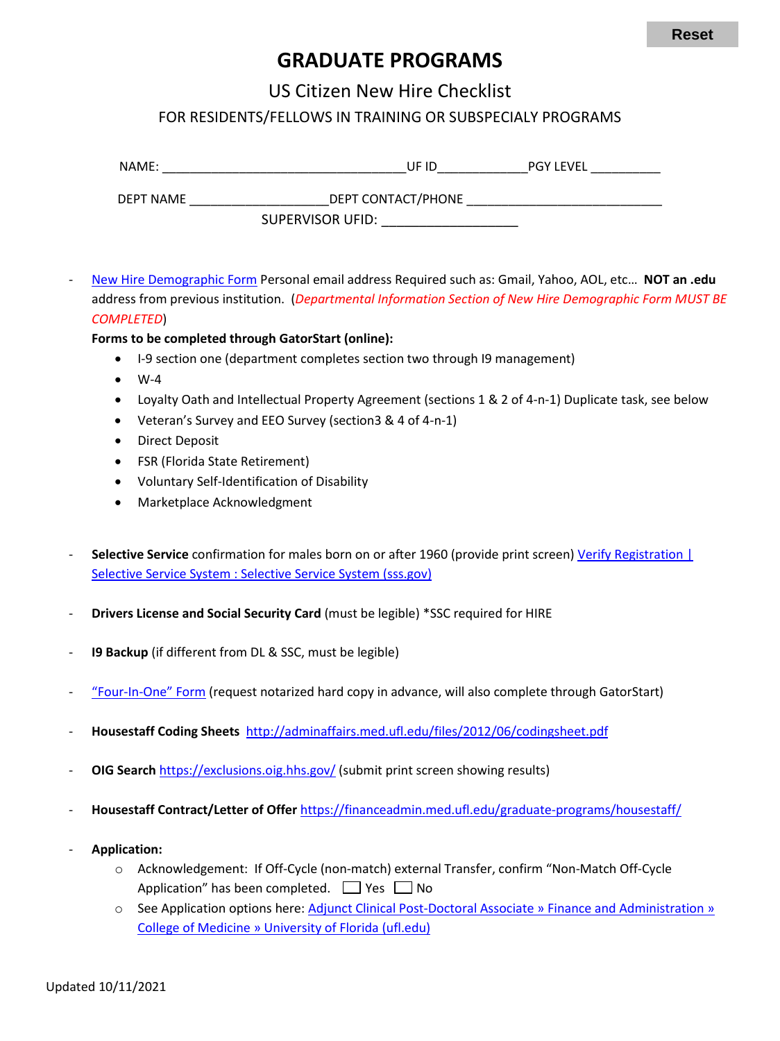## **GRADUATE PROGRAMS**

US Citizen New Hire Checklist

FOR RESIDENTS/FELLOWS IN TRAINING OR SUBSPECIALY PROGRAMS

| NAME:     |                         | UF ID | <b>PGY LEVEL</b> |
|-----------|-------------------------|-------|------------------|
| DEPT NAME | DEPT CONTACT/PHONE      |       |                  |
|           | <b>SUPERVISOR UFID:</b> |       |                  |

- [New Hire Demographic Form](https://hr.ufl.edu/wp-content/uploads/2018/04/demographic_form.pdf) Personal email address Required such as: Gmail, Yahoo, AOL, etc… **NOT an .edu** address from previous institution. (*Departmental Information Section of New Hire Demographic Form MUST BE COMPLETED*)

## **Forms to be completed through GatorStart (online):**

- I-9 section one (department completes section two through I9 management)
- $\bullet$  W-4
- Loyalty Oath and Intellectual Property Agreement (sections 1 & 2 of 4-n-1) Duplicate task, see below
- Veteran's Survey and EEO Survey (section3 & 4 of 4-n-1)
- Direct Deposit
- FSR (Florida State Retirement)
- Voluntary Self-Identification of Disability
- Marketplace Acknowledgment
- **Selective Service** confirmation for males born on or after 1960 (provide print screen) [Verify Registration |](https://www.sss.gov/verify/) Selective Service System : [Selective Service System \(sss.gov\)](https://www.sss.gov/verify/)
- **Drivers License and Social Security Card** (must be legible) \*SSC required for HIRE
- 19 Backup (if different from DL & SSC, must be legible)
- ["Four-In-One" Form](https://hr.ufl.edu/wp-content/uploads/2018/04/fourinone.pdf) (request notarized hard copy in advance, will also complete through GatorStart)
- **Housestaff Coding Sheets** <http://adminaffairs.med.ufl.edu/files/2012/06/codingsheet.pdf>
- **OIG Search** <https://exclusions.oig.hhs.gov/> (submit print screen showing results)
- **Housestaff Contract/Letter of Offer** <https://financeadmin.med.ufl.edu/graduate-programs/housestaff/>
- **Application:**
	- o Acknowledgement: If Off-Cycle (non-match) external Transfer, confirm "Non-Match Off-Cycle Application" has been completed.  $\Box$  Yes  $\Box$  No
	- o See Application options here: [Adjunct Clinical Post-Doctoral Associate » Finance and Administration »](https://financeadmin.med.ufl.edu/graduate-programs/academic-ops-faculty/) [College of Medicine » University of Florida \(ufl.edu\)](https://financeadmin.med.ufl.edu/graduate-programs/academic-ops-faculty/)